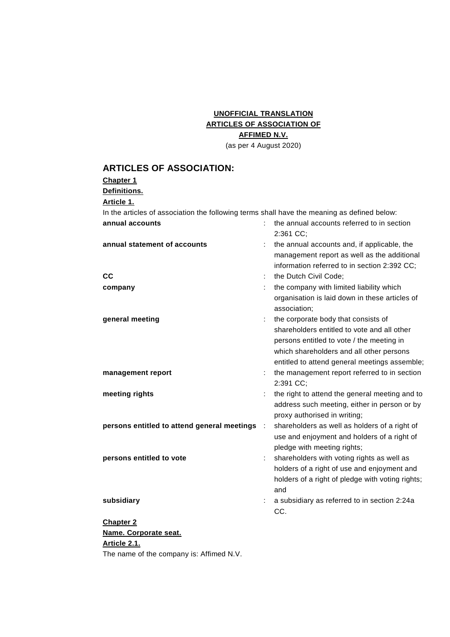# **UNOFFICIAL TRANSLATION ARTICLES OF ASSOCIATION OF AFFIMED N.V.**

(as per 4 August 2020)

## **ARTICLES OF ASSOCIATION:**

#### **Chapter 1**

**Definitions.**

#### **Article 1.**

In the articles of association the following terms shall have the meaning as defined below:

| annual accounts                             |                      | the annual accounts referred to in section<br>2:361 CC;                                                                                    |
|---------------------------------------------|----------------------|--------------------------------------------------------------------------------------------------------------------------------------------|
| annual statement of accounts                |                      | the annual accounts and, if applicable, the<br>management report as well as the additional<br>information referred to in section 2:392 CC; |
| CC                                          |                      | the Dutch Civil Code;                                                                                                                      |
| company                                     |                      | the company with limited liability which                                                                                                   |
|                                             |                      | organisation is laid down in these articles of<br>association;                                                                             |
| general meeting                             |                      | the corporate body that consists of                                                                                                        |
|                                             |                      | shareholders entitled to vote and all other                                                                                                |
|                                             |                      | persons entitled to vote / the meeting in                                                                                                  |
|                                             |                      | which shareholders and all other persons                                                                                                   |
|                                             |                      | entitled to attend general meetings assemble;                                                                                              |
| management report                           |                      | the management report referred to in section                                                                                               |
|                                             |                      | 2:391 CC;                                                                                                                                  |
| meeting rights                              |                      | the right to attend the general meeting and to                                                                                             |
|                                             |                      | address such meeting, either in person or by<br>proxy authorised in writing;                                                               |
| persons entitled to attend general meetings | $\ddot{\phantom{a}}$ | shareholders as well as holders of a right of                                                                                              |
|                                             |                      | use and enjoyment and holders of a right of                                                                                                |
|                                             |                      | pledge with meeting rights;                                                                                                                |
| persons entitled to vote                    |                      | shareholders with voting rights as well as                                                                                                 |
|                                             |                      | holders of a right of use and enjoyment and                                                                                                |
|                                             |                      | holders of a right of pledge with voting rights;<br>and                                                                                    |
| subsidiary                                  |                      | a subsidiary as referred to in section 2:24a                                                                                               |
|                                             |                      | CC.                                                                                                                                        |
| <b>Chapter 2</b>                            |                      |                                                                                                                                            |
| Name. Corporate seat.                       |                      |                                                                                                                                            |

**Article 2.1.**

The name of the company is: Affimed N.V.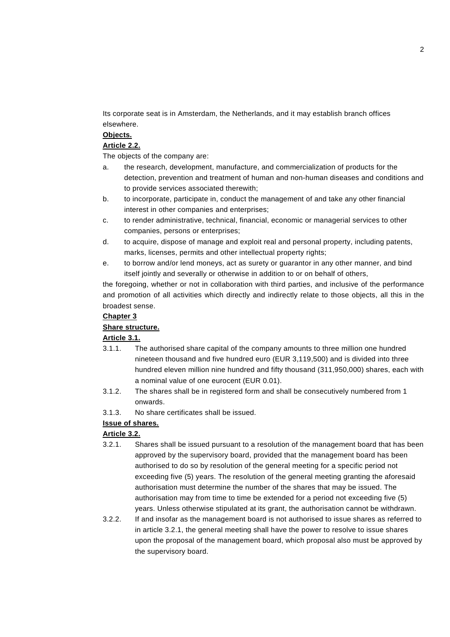Its corporate seat is in Amsterdam, the Netherlands, and it may establish branch offices elsewhere.

## **Objects.**

### **Article 2.2.**

The objects of the company are:

- a. the research, development, manufacture, and commercialization of products for the detection, prevention and treatment of human and non-human diseases and conditions and to provide services associated therewith;
- b. to incorporate, participate in, conduct the management of and take any other financial interest in other companies and enterprises;
- c. to render administrative, technical, financial, economic or managerial services to other companies, persons or enterprises;
- d. to acquire, dispose of manage and exploit real and personal property, including patents, marks, licenses, permits and other intellectual property rights;
- e. to borrow and/or lend moneys, act as surety or guarantor in any other manner, and bind itself jointly and severally or otherwise in addition to or on behalf of others,

the foregoing, whether or not in collaboration with third parties, and inclusive of the performance and promotion of all activities which directly and indirectly relate to those objects, all this in the broadest sense.

### **Chapter 3**

## **Share structure.**

## **Article 3.1.**

- 3.1.1. The authorised share capital of the company amounts to three million one hundred nineteen thousand and five hundred euro (EUR 3,119,500) and is divided into three hundred eleven million nine hundred and fifty thousand (311,950,000) shares, each with a nominal value of one eurocent (EUR 0.01).
- 3.1.2. The shares shall be in registered form and shall be consecutively numbered from 1 onwards.
- 3.1.3. No share certificates shall be issued.

## **Issue of shares.**

## **Article 3.2.**

- 3.2.1. Shares shall be issued pursuant to a resolution of the management board that has been approved by the supervisory board, provided that the management board has been authorised to do so by resolution of the general meeting for a specific period not exceeding five (5) years. The resolution of the general meeting granting the aforesaid authorisation must determine the number of the shares that may be issued. The authorisation may from time to time be extended for a period not exceeding five (5) years. Unless otherwise stipulated at its grant, the authorisation cannot be withdrawn.
- 3.2.2. If and insofar as the management board is not authorised to issue shares as referred to in article 3.2.1, the general meeting shall have the power to resolve to issue shares upon the proposal of the management board, which proposal also must be approved by the supervisory board.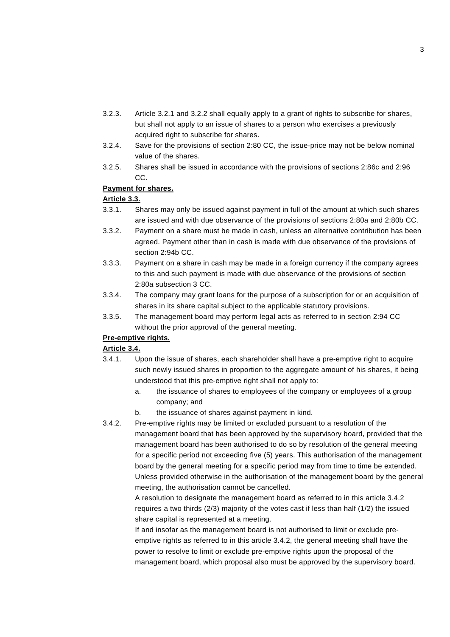- 3.2.3. Article 3.2.1 and 3.2.2 shall equally apply to a grant of rights to subscribe for shares, but shall not apply to an issue of shares to a person who exercises a previously acquired right to subscribe for shares.
- 3.2.4. Save for the provisions of section 2:80 CC, the issue-price may not be below nominal value of the shares.
- 3.2.5. Shares shall be issued in accordance with the provisions of sections 2:86c and 2:96 CC.

### **Payment for shares.**

#### **Article 3.3.**

- 3.3.1. Shares may only be issued against payment in full of the amount at which such shares are issued and with due observance of the provisions of sections 2:80a and 2:80b CC.
- 3.3.2. Payment on a share must be made in cash, unless an alternative contribution has been agreed. Payment other than in cash is made with due observance of the provisions of section 2:94b CC.
- 3.3.3. Payment on a share in cash may be made in a foreign currency if the company agrees to this and such payment is made with due observance of the provisions of section 2:80a subsection 3 CC.
- 3.3.4. The company may grant loans for the purpose of a subscription for or an acquisition of shares in its share capital subject to the applicable statutory provisions.
- 3.3.5. The management board may perform legal acts as referred to in section 2:94 CC without the prior approval of the general meeting.

### **Pre-emptive rights.**

## **Article 3.4.**

- 3.4.1. Upon the issue of shares, each shareholder shall have a pre-emptive right to acquire such newly issued shares in proportion to the aggregate amount of his shares, it being understood that this pre-emptive right shall not apply to:
	- a. the issuance of shares to employees of the company or employees of a group company; and
	- b. the issuance of shares against payment in kind.
- 3.4.2. Pre-emptive rights may be limited or excluded pursuant to a resolution of the management board that has been approved by the supervisory board, provided that the management board has been authorised to do so by resolution of the general meeting for a specific period not exceeding five (5) years. This authorisation of the management board by the general meeting for a specific period may from time to time be extended. Unless provided otherwise in the authorisation of the management board by the general meeting, the authorisation cannot be cancelled.

A resolution to designate the management board as referred to in this article 3.4.2 requires a two thirds (2/3) majority of the votes cast if less than half (1/2) the issued share capital is represented at a meeting.

If and insofar as the management board is not authorised to limit or exclude preemptive rights as referred to in this article 3.4.2, the general meeting shall have the power to resolve to limit or exclude pre-emptive rights upon the proposal of the management board, which proposal also must be approved by the supervisory board.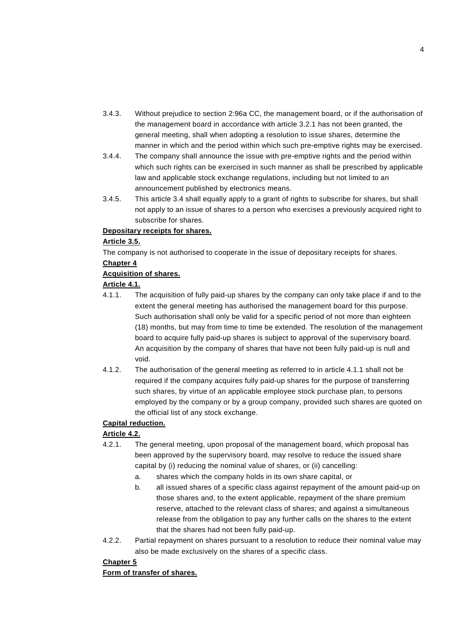- 3.4.3. Without prejudice to section 2:96a CC, the management board, or if the authorisation of the management board in accordance with article 3.2.1 has not been granted, the general meeting, shall when adopting a resolution to issue shares, determine the manner in which and the period within which such pre-emptive rights may be exercised.
- 3.4.4. The company shall announce the issue with pre-emptive rights and the period within which such rights can be exercised in such manner as shall be prescribed by applicable law and applicable stock exchange regulations, including but not limited to an announcement published by electronics means.
- 3.4.5. This article 3.4 shall equally apply to a grant of rights to subscribe for shares, but shall not apply to an issue of shares to a person who exercises a previously acquired right to subscribe for shares.

#### **Depositary receipts for shares.**

#### **Article 3.5.**

The company is not authorised to cooperate in the issue of depositary receipts for shares.

#### **Chapter 4**

#### **Acquisition of shares.**

### **Article 4.1.**

- 4.1.1. The acquisition of fully paid-up shares by the company can only take place if and to the extent the general meeting has authorised the management board for this purpose. Such authorisation shall only be valid for a specific period of not more than eighteen (18) months, but may from time to time be extended. The resolution of the management board to acquire fully paid-up shares is subject to approval of the supervisory board. An acquisition by the company of shares that have not been fully paid-up is null and void.
- 4.1.2. The authorisation of the general meeting as referred to in article 4.1.1 shall not be required if the company acquires fully paid-up shares for the purpose of transferring such shares, by virtue of an applicable employee stock purchase plan, to persons employed by the company or by a group company, provided such shares are quoted on the official list of any stock exchange.

## **Capital reduction.**

### **Article 4.2.**

- 4.2.1. The general meeting, upon proposal of the management board, which proposal has been approved by the supervisory board, may resolve to reduce the issued share capital by (i) reducing the nominal value of shares, or (ii) cancelling:
	- a. shares which the company holds in its own share capital, or
	- b. all issued shares of a specific class against repayment of the amount paid-up on those shares and, to the extent applicable, repayment of the share premium reserve, attached to the relevant class of shares; and against a simultaneous release from the obligation to pay any further calls on the shares to the extent that the shares had not been fully paid-up.
- 4.2.2. Partial repayment on shares pursuant to a resolution to reduce their nominal value may also be made exclusively on the shares of a specific class.

### **Chapter 5**

**Form of transfer of shares.**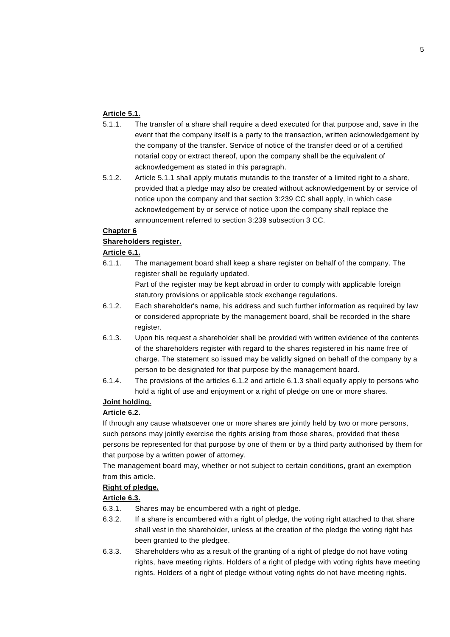## **Article 5.1.**

- 5.1.1. The transfer of a share shall require a deed executed for that purpose and, save in the event that the company itself is a party to the transaction, written acknowledgement by the company of the transfer. Service of notice of the transfer deed or of a certified notarial copy or extract thereof, upon the company shall be the equivalent of acknowledgement as stated in this paragraph.
- 5.1.2. Article 5.1.1 shall apply mutatis mutandis to the transfer of a limited right to a share, provided that a pledge may also be created without acknowledgement by or service of notice upon the company and that section 3:239 CC shall apply, in which case acknowledgement by or service of notice upon the company shall replace the announcement referred to section 3:239 subsection 3 CC.

## **Chapter 6**

## **Shareholders register.**

## **Article 6.1.**

6.1.1. The management board shall keep a share register on behalf of the company. The register shall be regularly updated.

Part of the register may be kept abroad in order to comply with applicable foreign statutory provisions or applicable stock exchange regulations.

- 6.1.2. Each shareholder's name, his address and such further information as required by law or considered appropriate by the management board, shall be recorded in the share register.
- 6.1.3. Upon his request a shareholder shall be provided with written evidence of the contents of the shareholders register with regard to the shares registered in his name free of charge. The statement so issued may be validly signed on behalf of the company by a person to be designated for that purpose by the management board.
- 6.1.4. The provisions of the articles 6.1.2 and article 6.1.3 shall equally apply to persons who hold a right of use and enjoyment or a right of pledge on one or more shares.

## **Joint holding.**

## **Article 6.2.**

If through any cause whatsoever one or more shares are jointly held by two or more persons, such persons may jointly exercise the rights arising from those shares, provided that these persons be represented for that purpose by one of them or by a third party authorised by them for that purpose by a written power of attorney.

The management board may, whether or not subject to certain conditions, grant an exemption from this article.

### **Right of pledge.**

## **Article 6.3.**

- 6.3.1. Shares may be encumbered with a right of pledge.
- 6.3.2. If a share is encumbered with a right of pledge, the voting right attached to that share shall vest in the shareholder, unless at the creation of the pledge the voting right has been granted to the pledgee.
- 6.3.3. Shareholders who as a result of the granting of a right of pledge do not have voting rights, have meeting rights. Holders of a right of pledge with voting rights have meeting rights. Holders of a right of pledge without voting rights do not have meeting rights.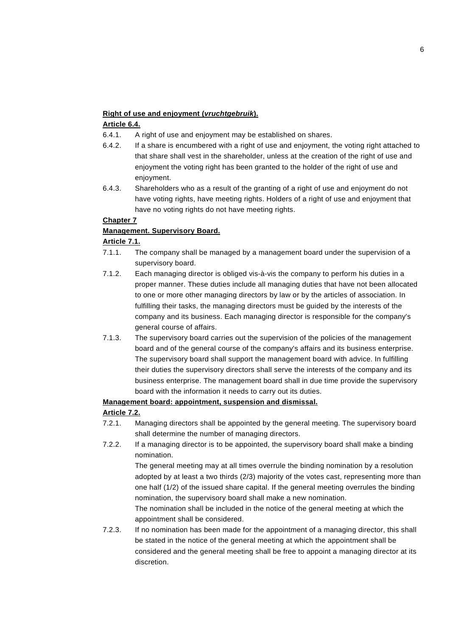### **Right of use and enjoyment (***vruchtgebruik***).**

## **Article 6.4.**

- 6.4.1. A right of use and enjoyment may be established on shares.
- 6.4.2. If a share is encumbered with a right of use and enjoyment, the voting right attached to that share shall vest in the shareholder, unless at the creation of the right of use and enjoyment the voting right has been granted to the holder of the right of use and enjoyment.
- 6.4.3. Shareholders who as a result of the granting of a right of use and enjoyment do not have voting rights, have meeting rights. Holders of a right of use and enjoyment that have no voting rights do not have meeting rights.

## **Chapter 7**

## **Management. Supervisory Board.**

## **Article 7.1.**

- 7.1.1. The company shall be managed by a management board under the supervision of a supervisory board.
- 7.1.2. Each managing director is obliged vis-à-vis the company to perform his duties in a proper manner. These duties include all managing duties that have not been allocated to one or more other managing directors by law or by the articles of association. In fulfilling their tasks, the managing directors must be guided by the interests of the company and its business. Each managing director is responsible for the company's general course of affairs.
- 7.1.3. The supervisory board carries out the supervision of the policies of the management board and of the general course of the company's affairs and its business enterprise. The supervisory board shall support the management board with advice. In fulfilling their duties the supervisory directors shall serve the interests of the company and its business enterprise. The management board shall in due time provide the supervisory board with the information it needs to carry out its duties.

## **Management board: appointment, suspension and dismissal.**

## **Article 7.2.**

- 7.2.1. Managing directors shall be appointed by the general meeting. The supervisory board shall determine the number of managing directors.
- 7.2.2. If a managing director is to be appointed, the supervisory board shall make a binding nomination.

The general meeting may at all times overrule the binding nomination by a resolution adopted by at least a two thirds (2/3) majority of the votes cast, representing more than one half (1/2) of the issued share capital. If the general meeting overrules the binding nomination, the supervisory board shall make a new nomination.

The nomination shall be included in the notice of the general meeting at which the appointment shall be considered.

7.2.3. If no nomination has been made for the appointment of a managing director, this shall be stated in the notice of the general meeting at which the appointment shall be considered and the general meeting shall be free to appoint a managing director at its discretion.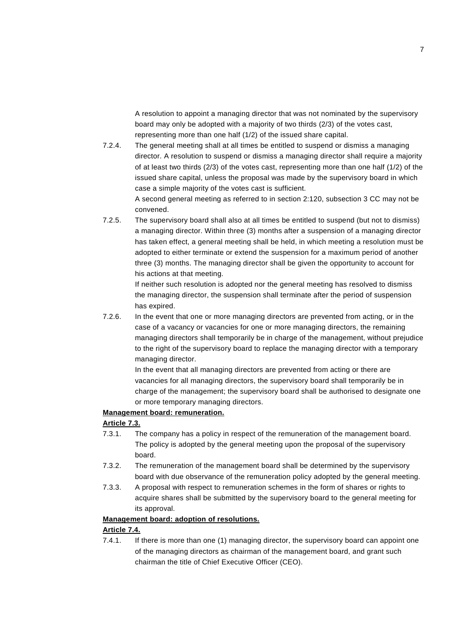A resolution to appoint a managing director that was not nominated by the supervisory board may only be adopted with a majority of two thirds (2/3) of the votes cast, representing more than one half (1/2) of the issued share capital.

7.2.4. The general meeting shall at all times be entitled to suspend or dismiss a managing director. A resolution to suspend or dismiss a managing director shall require a majority of at least two thirds (2/3) of the votes cast, representing more than one half (1/2) of the issued share capital, unless the proposal was made by the supervisory board in which case a simple majority of the votes cast is sufficient.

A second general meeting as referred to in section 2:120, subsection 3 CC may not be convened.

7.2.5. The supervisory board shall also at all times be entitled to suspend (but not to dismiss) a managing director. Within three (3) months after a suspension of a managing director has taken effect, a general meeting shall be held, in which meeting a resolution must be adopted to either terminate or extend the suspension for a maximum period of another three (3) months. The managing director shall be given the opportunity to account for his actions at that meeting.

> If neither such resolution is adopted nor the general meeting has resolved to dismiss the managing director, the suspension shall terminate after the period of suspension has expired.

7.2.6. In the event that one or more managing directors are prevented from acting, or in the case of a vacancy or vacancies for one or more managing directors, the remaining managing directors shall temporarily be in charge of the management, without prejudice to the right of the supervisory board to replace the managing director with a temporary managing director.

> In the event that all managing directors are prevented from acting or there are vacancies for all managing directors, the supervisory board shall temporarily be in charge of the management; the supervisory board shall be authorised to designate one or more temporary managing directors.

#### **Management board: remuneration.**

#### **Article 7.3.**

- 7.3.1. The company has a policy in respect of the remuneration of the management board. The policy is adopted by the general meeting upon the proposal of the supervisory board.
- 7.3.2. The remuneration of the management board shall be determined by the supervisory board with due observance of the remuneration policy adopted by the general meeting.
- 7.3.3. A proposal with respect to remuneration schemes in the form of shares or rights to acquire shares shall be submitted by the supervisory board to the general meeting for its approval.

#### **Management board: adoption of resolutions.**

#### **Article 7.4.**

7.4.1. If there is more than one (1) managing director, the supervisory board can appoint one of the managing directors as chairman of the management board, and grant such chairman the title of Chief Executive Officer (CEO).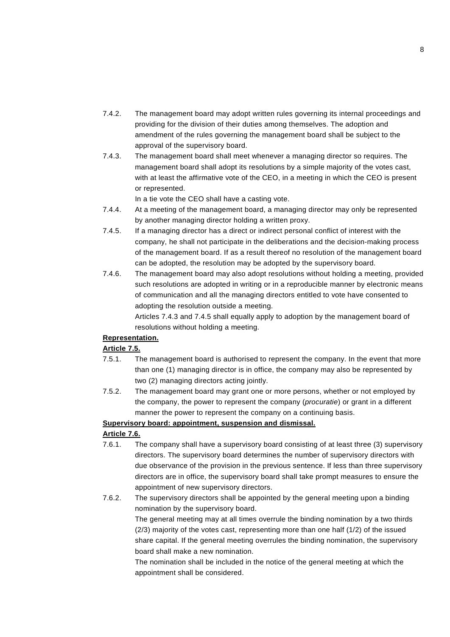- 7.4.2. The management board may adopt written rules governing its internal proceedings and providing for the division of their duties among themselves. The adoption and amendment of the rules governing the management board shall be subject to the approval of the supervisory board.
- 7.4.3. The management board shall meet whenever a managing director so requires. The management board shall adopt its resolutions by a simple majority of the votes cast, with at least the affirmative vote of the CEO, in a meeting in which the CEO is present or represented.

In a tie vote the CEO shall have a casting vote.

- 7.4.4. At a meeting of the management board, a managing director may only be represented by another managing director holding a written proxy.
- 7.4.5. If a managing director has a direct or indirect personal conflict of interest with the company, he shall not participate in the deliberations and the decision-making process of the management board. If as a result thereof no resolution of the management board can be adopted, the resolution may be adopted by the supervisory board.
- 7.4.6. The management board may also adopt resolutions without holding a meeting, provided such resolutions are adopted in writing or in a reproducible manner by electronic means of communication and all the managing directors entitled to vote have consented to adopting the resolution outside a meeting.

Articles 7.4.3 and 7.4.5 shall equally apply to adoption by the management board of resolutions without holding a meeting.

## **Representation.**

## **Article 7.5.**

- 7.5.1. The management board is authorised to represent the company. In the event that more than one (1) managing director is in office, the company may also be represented by two (2) managing directors acting jointly.
- 7.5.2. The management board may grant one or more persons, whether or not employed by the company, the power to represent the company (*procuratie*) or grant in a different manner the power to represent the company on a continuing basis.

## **Supervisory board: appointment, suspension and dismissal.**

## **Article 7.6.**

- 7.6.1. The company shall have a supervisory board consisting of at least three (3) supervisory directors. The supervisory board determines the number of supervisory directors with due observance of the provision in the previous sentence. If less than three supervisory directors are in office, the supervisory board shall take prompt measures to ensure the appointment of new supervisory directors.
- 7.6.2. The supervisory directors shall be appointed by the general meeting upon a binding nomination by the supervisory board.

The general meeting may at all times overrule the binding nomination by a two thirds (2/3) majority of the votes cast, representing more than one half (1/2) of the issued share capital. If the general meeting overrules the binding nomination, the supervisory board shall make a new nomination.

The nomination shall be included in the notice of the general meeting at which the appointment shall be considered.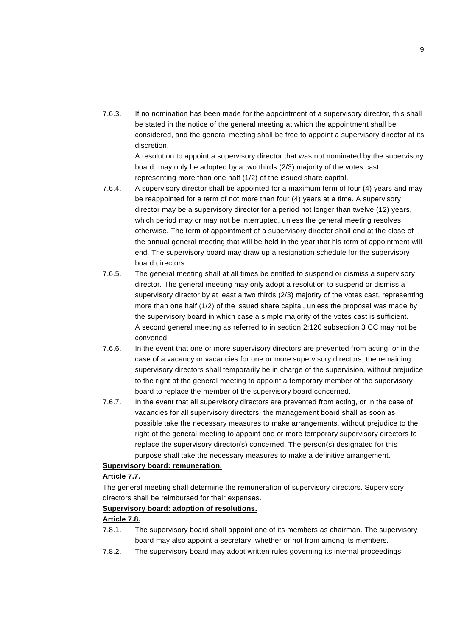7.6.3. If no nomination has been made for the appointment of a supervisory director, this shall be stated in the notice of the general meeting at which the appointment shall be considered, and the general meeting shall be free to appoint a supervisory director at its discretion.

A resolution to appoint a supervisory director that was not nominated by the supervisory board, may only be adopted by a two thirds (2/3) majority of the votes cast, representing more than one half (1/2) of the issued share capital.

- 7.6.4. A supervisory director shall be appointed for a maximum term of four (4) years and may be reappointed for a term of not more than four (4) years at a time. A supervisory director may be a supervisory director for a period not longer than twelve (12) years, which period may or may not be interrupted, unless the general meeting resolves otherwise. The term of appointment of a supervisory director shall end at the close of the annual general meeting that will be held in the year that his term of appointment will end. The supervisory board may draw up a resignation schedule for the supervisory board directors.
- 7.6.5. The general meeting shall at all times be entitled to suspend or dismiss a supervisory director. The general meeting may only adopt a resolution to suspend or dismiss a supervisory director by at least a two thirds (2/3) majority of the votes cast, representing more than one half (1/2) of the issued share capital, unless the proposal was made by the supervisory board in which case a simple majority of the votes cast is sufficient. A second general meeting as referred to in section 2:120 subsection 3 CC may not be convened.
- 7.6.6. In the event that one or more supervisory directors are prevented from acting, or in the case of a vacancy or vacancies for one or more supervisory directors, the remaining supervisory directors shall temporarily be in charge of the supervision, without prejudice to the right of the general meeting to appoint a temporary member of the supervisory board to replace the member of the supervisory board concerned.
- 7.6.7. In the event that all supervisory directors are prevented from acting, or in the case of vacancies for all supervisory directors, the management board shall as soon as possible take the necessary measures to make arrangements, without prejudice to the right of the general meeting to appoint one or more temporary supervisory directors to replace the supervisory director(s) concerned. The person(s) designated for this purpose shall take the necessary measures to make a definitive arrangement.

#### **Supervisory board: remuneration.**

## **Article 7.7.**

The general meeting shall determine the remuneration of supervisory directors. Supervisory directors shall be reimbursed for their expenses.

#### **Supervisory board: adoption of resolutions.**

## **Article 7.8.**

- 7.8.1. The supervisory board shall appoint one of its members as chairman. The supervisory board may also appoint a secretary, whether or not from among its members.
- 7.8.2. The supervisory board may adopt written rules governing its internal proceedings.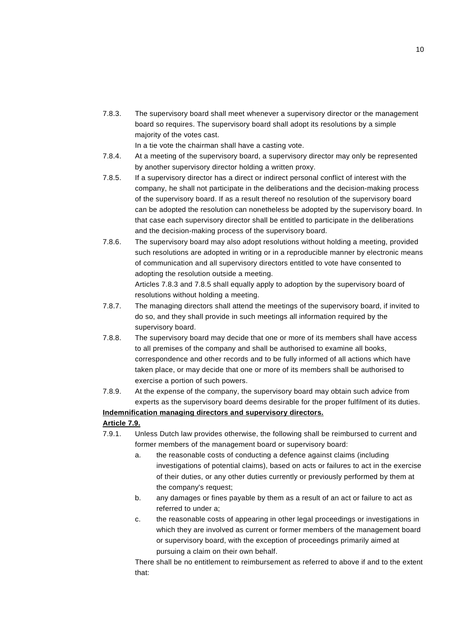7.8.3. The supervisory board shall meet whenever a supervisory director or the management board so requires. The supervisory board shall adopt its resolutions by a simple majority of the votes cast.

In a tie vote the chairman shall have a casting vote.

- 7.8.4. At a meeting of the supervisory board, a supervisory director may only be represented by another supervisory director holding a written proxy.
- 7.8.5. If a supervisory director has a direct or indirect personal conflict of interest with the company, he shall not participate in the deliberations and the decision-making process of the supervisory board. If as a result thereof no resolution of the supervisory board can be adopted the resolution can nonetheless be adopted by the supervisory board. In that case each supervisory director shall be entitled to participate in the deliberations and the decision-making process of the supervisory board.
- 7.8.6. The supervisory board may also adopt resolutions without holding a meeting, provided such resolutions are adopted in writing or in a reproducible manner by electronic means of communication and all supervisory directors entitled to vote have consented to adopting the resolution outside a meeting.

Articles 7.8.3 and 7.8.5 shall equally apply to adoption by the supervisory board of resolutions without holding a meeting.

- 7.8.7. The managing directors shall attend the meetings of the supervisory board, if invited to do so, and they shall provide in such meetings all information required by the supervisory board.
- 7.8.8. The supervisory board may decide that one or more of its members shall have access to all premises of the company and shall be authorised to examine all books, correspondence and other records and to be fully informed of all actions which have taken place, or may decide that one or more of its members shall be authorised to exercise a portion of such powers.
- 7.8.9. At the expense of the company, the supervisory board may obtain such advice from experts as the supervisory board deems desirable for the proper fulfilment of its duties.

## **Indemnification managing directors and supervisory directors.**

#### **Article 7.9.**

- 7.9.1. Unless Dutch law provides otherwise, the following shall be reimbursed to current and former members of the management board or supervisory board:
	- a. the reasonable costs of conducting a defence against claims (including investigations of potential claims), based on acts or failures to act in the exercise of their duties, or any other duties currently or previously performed by them at the company's request;
	- b. any damages or fines payable by them as a result of an act or failure to act as referred to under a;
	- c. the reasonable costs of appearing in other legal proceedings or investigations in which they are involved as current or former members of the management board or supervisory board, with the exception of proceedings primarily aimed at pursuing a claim on their own behalf.

There shall be no entitlement to reimbursement as referred to above if and to the extent that: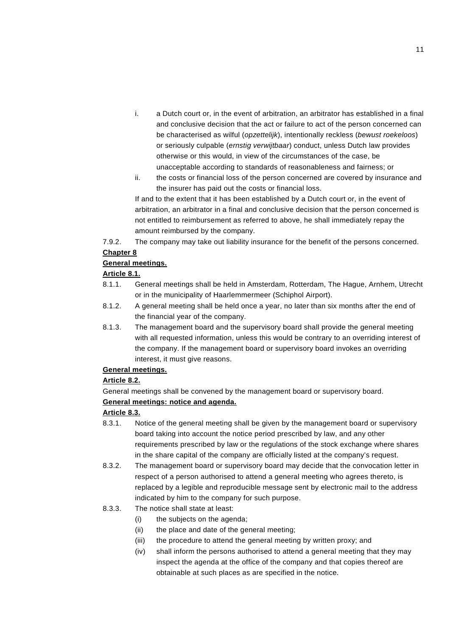- i. a Dutch court or, in the event of arbitration, an arbitrator has established in a final and conclusive decision that the act or failure to act of the person concerned can be characterised as wilful (*opzettelijk*), intentionally reckless (*bewust roekeloos*) or seriously culpable (*ernstig verwijtbaar*) conduct, unless Dutch law provides otherwise or this would, in view of the circumstances of the case, be unacceptable according to standards of reasonableness and fairness; or
- ii. the costs or financial loss of the person concerned are covered by insurance and the insurer has paid out the costs or financial loss.

If and to the extent that it has been established by a Dutch court or, in the event of arbitration, an arbitrator in a final and conclusive decision that the person concerned is not entitled to reimbursement as referred to above, he shall immediately repay the amount reimbursed by the company.

7.9.2. The company may take out liability insurance for the benefit of the persons concerned. **Chapter 8**

### **General meetings.**

### **Article 8.1.**

- 8.1.1. General meetings shall be held in Amsterdam, Rotterdam, The Hague, Arnhem, Utrecht or in the municipality of Haarlemmermeer (Schiphol Airport).
- 8.1.2. A general meeting shall be held once a year, no later than six months after the end of the financial year of the company.
- 8.1.3. The management board and the supervisory board shall provide the general meeting with all requested information, unless this would be contrary to an overriding interest of the company. If the management board or supervisory board invokes an overriding interest, it must give reasons.

### **General meetings.**

### **Article 8.2.**

General meetings shall be convened by the management board or supervisory board.

### **General meetings: notice and agenda.**

### **Article 8.3.**

- 8.3.1. Notice of the general meeting shall be given by the management board or supervisory board taking into account the notice period prescribed by law, and any other requirements prescribed by law or the regulations of the stock exchange where shares in the share capital of the company are officially listed at the company's request.
- 8.3.2. The management board or supervisory board may decide that the convocation letter in respect of a person authorised to attend a general meeting who agrees thereto, is replaced by a legible and reproducible message sent by electronic mail to the address indicated by him to the company for such purpose.
- 8.3.3. The notice shall state at least:
	- (i) the subjects on the agenda;
	- (ii) the place and date of the general meeting;
	- (iii) the procedure to attend the general meeting by written proxy; and
	- (iv) shall inform the persons authorised to attend a general meeting that they may inspect the agenda at the office of the company and that copies thereof are obtainable at such places as are specified in the notice.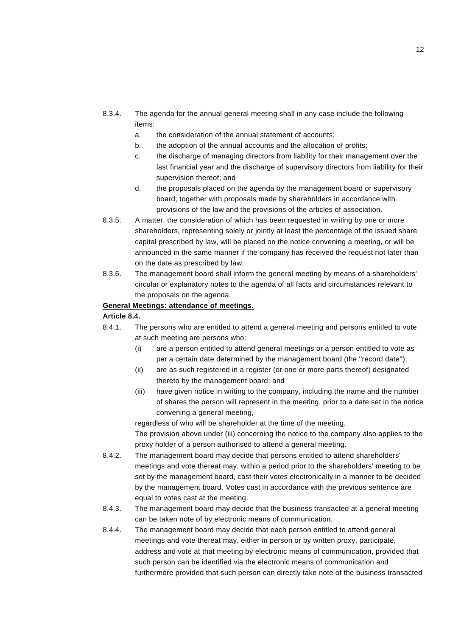- 8.3.4. The agenda for the annual general meeting shall in any case include the following items:
	- a. the consideration of the annual statement of accounts;
	- b. the adoption of the annual accounts and the allocation of profits;
	- c. the discharge of managing directors from liability for their management over the last financial year and the discharge of supervisory directors from liability for their supervision thereof; and
	- d. the proposals placed on the agenda by the management board or supervisory board, together with proposals made by shareholders in accordance with provisions of the law and the provisions of the articles of association.
- 8.3.5. A matter, the consideration of which has been requested in writing by one or more shareholders, representing solely or jointly at least the percentage of the issued share capital prescribed by law, will be placed on the notice convening a meeting, or will be announced in the same manner if the company has received the request not later than on the date as prescribed by law.
- 8.3.6. The management board shall inform the general meeting by means of a shareholders' circular or explanatory notes to the agenda of all facts and circumstances relevant to the proposals on the agenda.

#### **General Meetings: attendance of meetings.**

#### **Article 8.4.**

- 8.4.1. The persons who are entitled to attend a general meeting and persons entitled to vote at such meeting are persons who:
	- (i) are a person entitled to attend general meetings or a person entitled to vote as per a certain date determined by the management board (the ''record date'');
	- (ii) are as such registered in a register (or one or more parts thereof) designated thereto by the management board; and
	- (iii) have given notice in writing to the company, including the name and the number of shares the person will represent in the meeting, prior to a date set in the notice convening a general meeting,

regardless of who will be shareholder at the time of the meeting.

The provision above under (iii) concerning the notice to the company also applies to the proxy holder of a person authorised to attend a general meeting.

8.4.2. The management board may decide that persons entitled to attend shareholders' meetings and vote thereat may, within a period prior to the shareholders' meeting to be set by the management board, cast their votes electronically in a manner to be decided by the management board. Votes cast in accordance with the previous sentence are equal to votes cast at the meeting.

- 8.4.3. The management board may decide that the business transacted at a general meeting can be taken note of by electronic means of communication*.*
- 8.4.4. The management board may decide that each person entitled to attend general meetings and vote thereat may, either in person or by written proxy, participate, address and vote at that meeting by electronic means of communication, provided that such person can be identified via the electronic means of communication and furthermore provided that such person can directly take note of the business transacted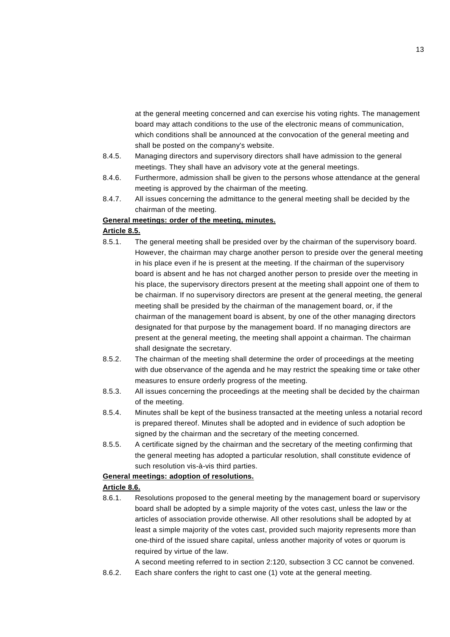at the general meeting concerned and can exercise his voting rights. The management board may attach conditions to the use of the electronic means of communication, which conditions shall be announced at the convocation of the general meeting and shall be posted on the company's website.

- 8.4.5. Managing directors and supervisory directors shall have admission to the general meetings. They shall have an advisory vote at the general meetings.
- 8.4.6. Furthermore, admission shall be given to the persons whose attendance at the general meeting is approved by the chairman of the meeting.
- 8.4.7. All issues concerning the admittance to the general meeting shall be decided by the chairman of the meeting.

### **General meetings: order of the meeting, minutes.**

#### **Article 8.5.**

- 8.5.1. The general meeting shall be presided over by the chairman of the supervisory board. However, the chairman may charge another person to preside over the general meeting in his place even if he is present at the meeting. If the chairman of the supervisory board is absent and he has not charged another person to preside over the meeting in his place, the supervisory directors present at the meeting shall appoint one of them to be chairman. If no supervisory directors are present at the general meeting, the general meeting shall be presided by the chairman of the management board, or, if the chairman of the management board is absent, by one of the other managing directors designated for that purpose by the management board. If no managing directors are present at the general meeting, the meeting shall appoint a chairman. The chairman shall designate the secretary.
- 8.5.2. The chairman of the meeting shall determine the order of proceedings at the meeting with due observance of the agenda and he may restrict the speaking time or take other measures to ensure orderly progress of the meeting.
- 8.5.3. All issues concerning the proceedings at the meeting shall be decided by the chairman of the meeting.
- 8.5.4. Minutes shall be kept of the business transacted at the meeting unless a notarial record is prepared thereof. Minutes shall be adopted and in evidence of such adoption be signed by the chairman and the secretary of the meeting concerned.
- 8.5.5. A certificate signed by the chairman and the secretary of the meeting confirming that the general meeting has adopted a particular resolution, shall constitute evidence of such resolution vis-à-vis third parties.

## **General meetings: adoption of resolutions.**

#### **Article 8.6.**

8.6.1. Resolutions proposed to the general meeting by the management board or supervisory board shall be adopted by a simple majority of the votes cast, unless the law or the articles of association provide otherwise. All other resolutions shall be adopted by at least a simple majority of the votes cast, provided such majority represents more than one-third of the issued share capital, unless another majority of votes or quorum is required by virtue of the law.

A second meeting referred to in section 2:120, subsection 3 CC cannot be convened.

8.6.2. Each share confers the right to cast one (1) vote at the general meeting.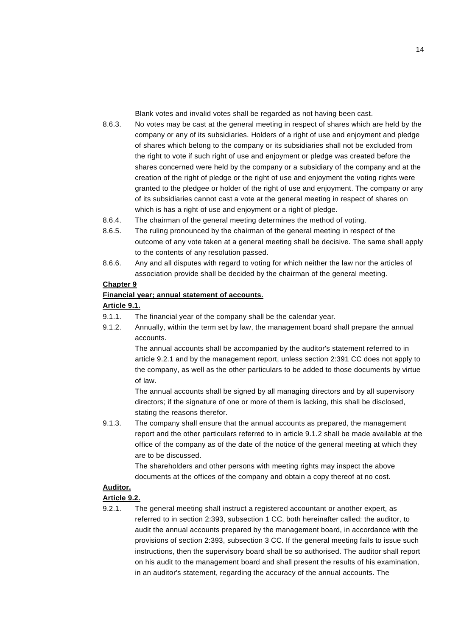Blank votes and invalid votes shall be regarded as not having been cast.

- 8.6.3. No votes may be cast at the general meeting in respect of shares which are held by the company or any of its subsidiaries. Holders of a right of use and enjoyment and pledge of shares which belong to the company or its subsidiaries shall not be excluded from the right to vote if such right of use and enjoyment or pledge was created before the shares concerned were held by the company or a subsidiary of the company and at the creation of the right of pledge or the right of use and enjoyment the voting rights were granted to the pledgee or holder of the right of use and enjoyment. The company or any of its subsidiaries cannot cast a vote at the general meeting in respect of shares on which is has a right of use and enjoyment or a right of pledge.
- 8.6.4. The chairman of the general meeting determines the method of voting.
- 8.6.5. The ruling pronounced by the chairman of the general meeting in respect of the outcome of any vote taken at a general meeting shall be decisive. The same shall apply to the contents of any resolution passed.
- 8.6.6. Any and all disputes with regard to voting for which neither the law nor the articles of association provide shall be decided by the chairman of the general meeting.

## **Chapter 9**

### **Financial year; annual statement of accounts.**

#### **Article 9.1.**

- 9.1.1. The financial year of the company shall be the calendar year.
- 9.1.2. Annually, within the term set by law, the management board shall prepare the annual accounts.

The annual accounts shall be accompanied by the auditor's statement referred to in article 9.2.1 and by the management report, unless section 2:391 CC does not apply to the company, as well as the other particulars to be added to those documents by virtue of law.

The annual accounts shall be signed by all managing directors and by all supervisory directors; if the signature of one or more of them is lacking, this shall be disclosed, stating the reasons therefor.

9.1.3. The company shall ensure that the annual accounts as prepared, the management report and the other particulars referred to in article 9.1.2 shall be made available at the office of the company as of the date of the notice of the general meeting at which they are to be discussed.

> The shareholders and other persons with meeting rights may inspect the above documents at the offices of the company and obtain a copy thereof at no cost.

# **Auditor.**

## **Article 9.2.**

9.2.1. The general meeting shall instruct a registered accountant or another expert, as referred to in section 2:393, subsection 1 CC, both hereinafter called: the auditor, to audit the annual accounts prepared by the management board, in accordance with the provisions of section 2:393, subsection 3 CC. If the general meeting fails to issue such instructions, then the supervisory board shall be so authorised. The auditor shall report on his audit to the management board and shall present the results of his examination, in an auditor's statement, regarding the accuracy of the annual accounts. The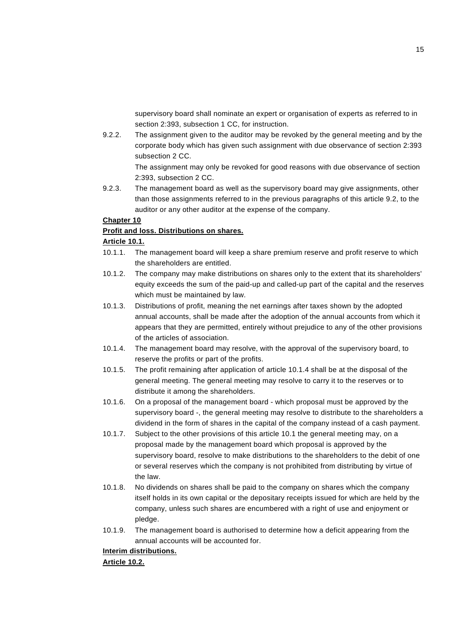supervisory board shall nominate an expert or organisation of experts as referred to in section 2:393, subsection 1 CC, for instruction.

9.2.2. The assignment given to the auditor may be revoked by the general meeting and by the corporate body which has given such assignment with due observance of section 2:393 subsection 2 CC.

> The assignment may only be revoked for good reasons with due observance of section 2:393, subsection 2 CC.

9.2.3. The management board as well as the supervisory board may give assignments, other than those assignments referred to in the previous paragraphs of this article 9.2, to the auditor or any other auditor at the expense of the company.

### **Chapter 10**

#### **Profit and loss. Distributions on shares.**

#### **Article 10.1.**

- 10.1.1. The management board will keep a share premium reserve and profit reserve to which the shareholders are entitled.
- 10.1.2. The company may make distributions on shares only to the extent that its shareholders' equity exceeds the sum of the paid-up and called-up part of the capital and the reserves which must be maintained by law.
- 10.1.3. Distributions of profit, meaning the net earnings after taxes shown by the adopted annual accounts, shall be made after the adoption of the annual accounts from which it appears that they are permitted, entirely without prejudice to any of the other provisions of the articles of association.
- 10.1.4. The management board may resolve, with the approval of the supervisory board, to reserve the profits or part of the profits.
- 10.1.5. The profit remaining after application of article 10.1.4 shall be at the disposal of the general meeting. The general meeting may resolve to carry it to the reserves or to distribute it among the shareholders.
- 10.1.6. On a proposal of the management board which proposal must be approved by the supervisory board -, the general meeting may resolve to distribute to the shareholders a dividend in the form of shares in the capital of the company instead of a cash payment.
- 10.1.7. Subject to the other provisions of this article 10.1 the general meeting may, on a proposal made by the management board which proposal is approved by the supervisory board, resolve to make distributions to the shareholders to the debit of one or several reserves which the company is not prohibited from distributing by virtue of the law.
- 10.1.8. No dividends on shares shall be paid to the company on shares which the company itself holds in its own capital or the depositary receipts issued for which are held by the company, unless such shares are encumbered with a right of use and enjoyment or pledge.
- 10.1.9. The management board is authorised to determine how a deficit appearing from the annual accounts will be accounted for.

## **Interim distributions.**

**Article 10.2.**